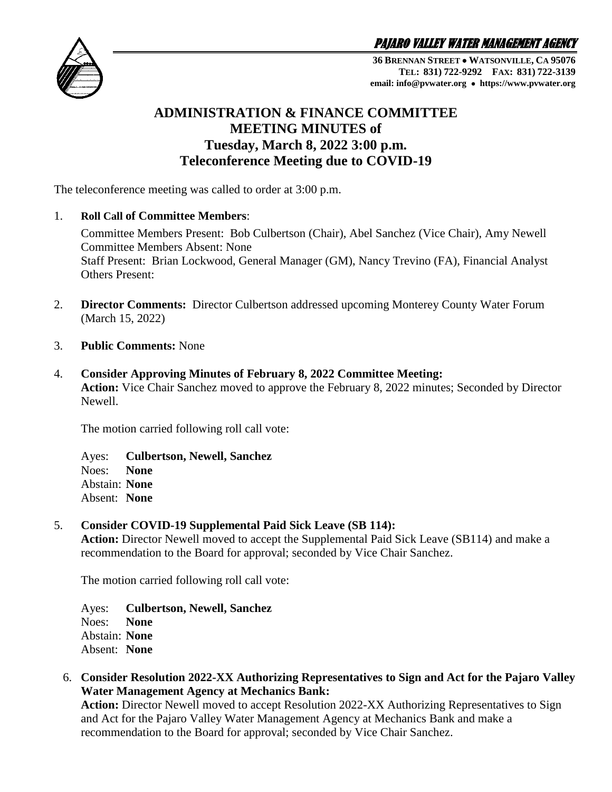PAJARO VALLEY WATER MANAGEMENT AGENCY



**36 BRENNAN STREET WATSONVILLE, CA 95076 TEL: 831) 722-9292 FAX: 831) 722-3139 email: info@pvwater.org https://www.pvwater.org**

## **ADMINISTRATION & FINANCE COMMITTEE MEETING MINUTES of Tuesday, March 8, 2022 3:00 p.m. Teleconference Meeting due to COVID-19**

The teleconference meeting was called to order at 3:00 p.m.

1. **Roll Call of Committee Members**:

Committee Members Present: Bob Culbertson (Chair), Abel Sanchez (Vice Chair), Amy Newell Committee Members Absent: None Staff Present: Brian Lockwood, General Manager (GM), Nancy Trevino (FA), Financial Analyst Others Present:

- 2. **Director Comments:** Director Culbertson addressed upcoming Monterey County Water Forum (March 15, 2022)
- 3. **Public Comments:** None
- 4. **Consider Approving Minutes of February 8, 2022 Committee Meeting: Action:** Vice Chair Sanchez moved to approve the February 8, 2022 minutes; Seconded by Director Newell.

The motion carried following roll call vote:

Ayes: **Culbertson, Newell, Sanchez** Noes: **None** Abstain: **None** Absent: **None**

## 5. **Consider COVID-19 Supplemental Paid Sick Leave (SB 114):**

**Action:** Director Newell moved to accept the Supplemental Paid Sick Leave (SB114) and make a recommendation to the Board for approval; seconded by Vice Chair Sanchez.

The motion carried following roll call vote:

Ayes: **Culbertson, Newell, Sanchez** Noes: **None** Abstain: **None** Absent: **None**

6. **Consider Resolution 2022-XX Authorizing Representatives to Sign and Act for the Pajaro Valley Water Management Agency at Mechanics Bank:** 

**Action:** Director Newell moved to accept Resolution 2022-XX Authorizing Representatives to Sign and Act for the Pajaro Valley Water Management Agency at Mechanics Bank and make a recommendation to the Board for approval; seconded by Vice Chair Sanchez.